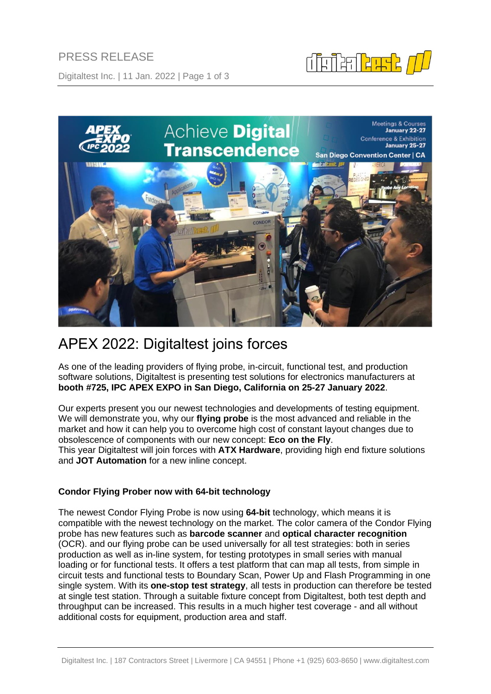PRESS RELEASE

Digitaltest Inc. | 11 Jan. 2022 | Page 1 of 3



# APEX 2022: Digitaltest joins forces

As one of the leading providers of flying probe, in-circuit, functional test, and production software solutions, Digitaltest is presenting test solutions for electronics manufacturers at **booth #725, IPC APEX EXPO in San Diego, California on 25-27 January 2022**.

Our experts present you our newest technologies and developments of testing equipment. We will demonstrate you, why our **flying probe** is the most advanced and reliable in the market and how it can help you to overcome high cost of constant layout changes due to obsolescence of components with our new concept: **Eco on the Fly**. This year Digitaltest will join forces with **ATX Hardware**, providing high end fixture solutions and **JOT Automation** for a new inline concept.

# **Condor Flying Prober now with 64-bit technology**

The newest Condor Flying Probe is now using **64-bit** technology, which means it is compatible with the newest technology on the market. The color camera of the Condor Flying probe has new features such as **barcode scanner** and **optical character recognition** (OCR). and our flying probe can be used universally for all test strategies: both in series production as well as in-line system, for testing prototypes in small series with manual loading or for functional tests. It offers a test platform that can map all tests, from simple in circuit tests and functional tests to Boundary Scan, Power Up and Flash Programming in one single system. With its **one-stop test strategy**, all tests in production can therefore be tested at single test station. Through a suitable fixture concept from Digitaltest, both test depth and throughput can be increased. This results in a much higher test coverage - and all without additional costs for equipment, production area and staff.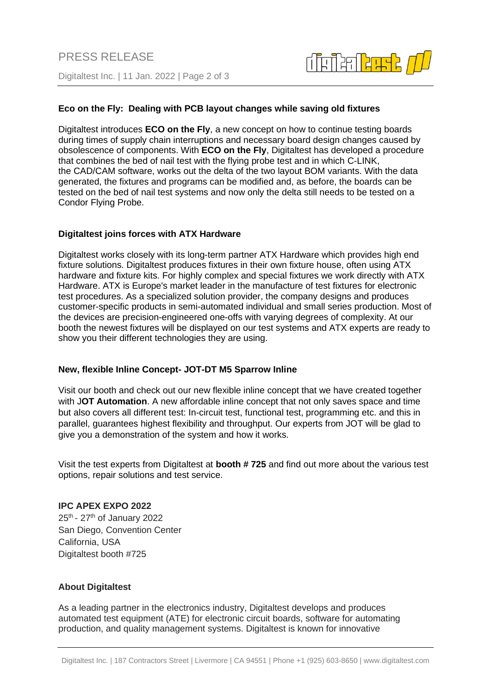

## **Eco on the Fly: Dealing with PCB layout changes while saving old fixtures**

Digitaltest introduces **ECO on the Fly**, a new concept on how to continue testing boards during times of supply chain interruptions and necessary board design changes caused by obsolescence of components. With **ECO on the Fly**, Digitaltest has developed a procedure that combines the bed of nail test with the flying probe test and in which [C-LINK,](https://www.digitaltest.com/en/software/c-link-dtm/) the [CAD/CAM software,](https://www.digitaltest.com/en/current-issues/lexicon/definition/cad-cam-software/) works out the delta of the two layout BOM variants. With the data generated, the fixtures and programs can be modified and, as before, the boards can be tested on the bed of nail test systems and now only the delta still needs to be tested on a Condor Flying Probe.

#### **Digitaltest joins forces with ATX Hardware**

Digitaltest works closely with its long-term partner ATX Hardware which provides high end fixture solutions. Digitaltest produces fixtures in their own fixture house, often using ATX hardware and fixture kits. For highly complex and special fixtures we work directly with ATX Hardware. ATX is Europe's market leader in the manufacture of test fixtures for electronic test procedures. As a specialized solution provider, the company designs and produces customer-specific products in semi-automated individual and small series production. Most of the devices are precision-engineered one-offs with varying degrees of complexity. At our booth the newest fixtures will be displayed on our test systems and ATX experts are ready to show you their different technologies they are using.

#### **New, flexible Inline Concept- JOT-DT M5 Sparrow Inline**

Visit our booth and check out our new flexible inline concept that we have created together with J**OT Automation**. A new affordable inline concept that not only saves space and time but also covers all different test: In-circuit test, functional test, programming etc. and this in parallel, guarantees highest flexibility and throughput. Our experts from JOT will be glad to give you a demonstration of the system and how it works.

Visit the test experts from Digitaltest at **booth # 725** and find out more about the various test options, repair solutions and test service.

#### **IPC APEX EXPO 2022**

25<sup>th</sup> - 27<sup>th</sup> of January 2022 San Diego, Convention Center California, USA Digitaltest booth #725

#### **About Digitaltest**

As a leading partner in the electronics industry, Digitaltest develops and produces automated test equipment (ATE) for electronic circuit boards, software for automating production, and quality management systems. Digitaltest is known for innovative